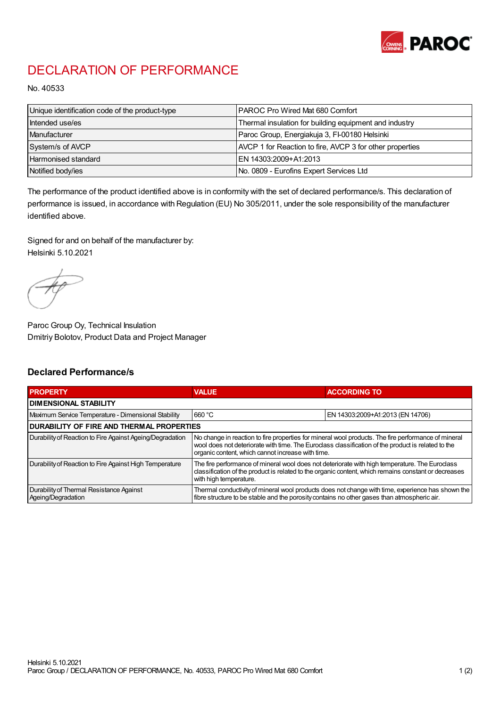

## DECLARATION OF PERFORMANCE

No. 40533

| Unique identification code of the product-type | IPAROC Pro Wired Mat 680 Comfort                         |
|------------------------------------------------|----------------------------------------------------------|
| Intended use/es                                | Thermal insulation for building equipment and industry   |
| Manufacturer                                   | Paroc Group, Energiakuja 3, FI-00180 Helsinki            |
| System/s of AVCP                               | AVCP 1 for Reaction to fire, AVCP 3 for other properties |
| Harmonised standard                            | IEN 14303:2009+A1:2013                                   |
| Notified body/ies                              | No. 0809 - Eurofins Expert Services Ltd                  |

The performance of the product identified above is in conformity with the set of declared performance/s. This declaration of performance is issued, in accordance with Regulation (EU) No 305/2011, under the sole responsibility of the manufacturer identified above.

Signed for and on behalf of the manufacturer by: Helsinki 5.10.2021

Paroc Group Oy, Technical Insulation Dmitriy Bolotov, Product Data and Project Manager

## Declared Performance/s

| <b>PROPERTY</b>                                                | <b>VALUE</b>                                                                                                                                                                                                                                                   | <b>ACCORDING TO.</b>             |  |
|----------------------------------------------------------------|----------------------------------------------------------------------------------------------------------------------------------------------------------------------------------------------------------------------------------------------------------------|----------------------------------|--|
| <b>DIMENSIONAL STABILITY</b>                                   |                                                                                                                                                                                                                                                                |                                  |  |
| Maximum Service Temperature - Dimensional Stability            | 660 °C                                                                                                                                                                                                                                                         | EN 14303:2009+A1:2013 (EN 14706) |  |
| <b>DURABILITY OF FIRE AND THERMAL PROPERTIES</b>               |                                                                                                                                                                                                                                                                |                                  |  |
| Durability of Reaction to Fire Against Ageing/Degradation      | No change in reaction to fire properties for mineral wool products. The fire performance of mineral<br>wool does not deteriorate with time. The Euroclass classification of the product is related to the<br>organic content, which cannot increase with time. |                                  |  |
| Durability of Reaction to Fire Against High Temperature        | The fire performance of mineral wool does not deteriorate with high temperature. The Euroclass<br>classification of the product is related to the organic content, which remains constant or decreases<br>with high temperature.                               |                                  |  |
| Durability of Thermal Resistance Against<br>Ageing/Degradation | Thermal conductivity of mineral wool products does not change with time, experience has shown the<br>fibre structure to be stable and the porosity contains no other gases than atmospheric air.                                                               |                                  |  |